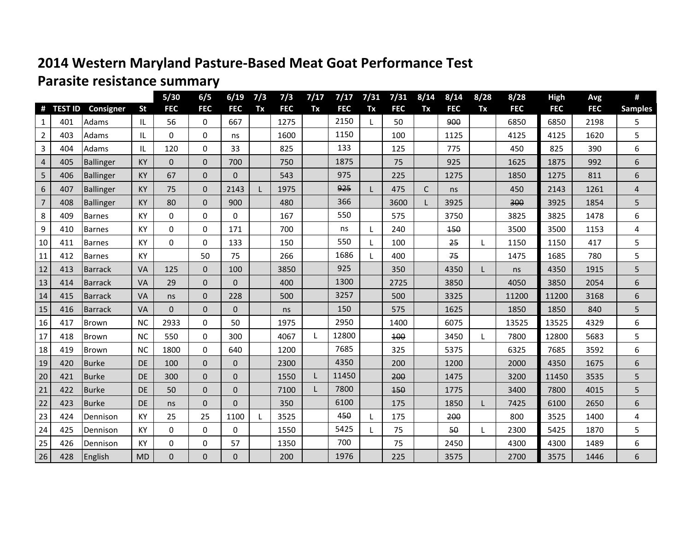## **2014 Western Maryland Pasture-Based Meat Goat Performance Test**

## **Parasite resistance summary**

|                |                |                 |           | $5/30$      | 6/5          | 6/19         | 7/3 | 7/3        | 7/17 | 7/17       | 7/31 | 7/31       | 8/14         | 8/14       | 8/28 | 8/28       | <b>High</b> | Avg        | #              |
|----------------|----------------|-----------------|-----------|-------------|--------------|--------------|-----|------------|------|------------|------|------------|--------------|------------|------|------------|-------------|------------|----------------|
| #              | <b>TEST ID</b> | Consigner       | <b>St</b> | <b>FEC</b>  | <b>FEC</b>   | <b>FEC</b>   | Tx  | <b>FEC</b> | Tx   | <b>FEC</b> | Tx   | <b>FEC</b> | Tx           | <b>FEC</b> | Tx   | <b>FEC</b> | <b>FEC</b>  | <b>FEC</b> | <b>Samples</b> |
| 1              | 401            | Adams           | IL.       | 56          | $\Omega$     | 667          |     | 1275       |      | 2150       | L    | 50         |              | 900        |      | 6850       | 6850        | 2198       | 5.             |
| $\overline{2}$ | 403            | Adams           | IL        | $\Omega$    | $\Omega$     | ns           |     | 1600       |      | 1150       |      | 100        |              | 1125       |      | 4125       | 4125        | 1620       | 5              |
| 3              | 404            | Adams           | IL.       | 120         | $\Omega$     | 33           |     | 825        |      | 133        |      | 125        |              | 775        |      | 450        | 825         | 390        | 6              |
| 4              | 405            | Ballinger       | <b>KY</b> | $\mathbf 0$ | $\mathbf{0}$ | 700          |     | 750        |      | 1875       |      | 75         |              | 925        |      | 1625       | 1875        | 992        | 6              |
| 5              | 406            | Ballinger       | <b>KY</b> | 67          | $\mathbf 0$  | $\mathbf 0$  |     | 543        |      | 975        |      | 225        |              | 1275       |      | 1850       | 1275        | 811        | 6              |
| 6              | 407            | Ballinger       | <b>KY</b> | 75          | $\mathbf{0}$ | 2143         | L   | 1975       |      | 925        |      | 475        | $\mathsf{C}$ | ns         |      | 450        | 2143        | 1261       | 4              |
| $\overline{7}$ | 408            | Ballinger       | KY        | 80          | $\Omega$     | 900          |     | 480        |      | 366        |      | 3600       |              | 3925       |      | 300        | 3925        | 1854       | 5              |
| 8              | 409            | <b>Barnes</b>   | KY        | $\Omega$    | $\Omega$     | $\Omega$     |     | 167        |      | 550        |      | 575        |              | 3750       |      | 3825       | 3825        | 1478       | 6              |
| 9              | 410            | <b>Barnes</b>   | KY        | $\mathbf 0$ | $\Omega$     | 171          |     | 700        |      | ns         | L    | 240        |              | 150        |      | 3500       | 3500        | 1153       | 4              |
| 10             | 411            | <b>Barnes</b>   | KY        | $\mathbf 0$ | $\Omega$     | 133          |     | 150        |      | 550        | L    | 100        |              | 25         |      | 1150       | 1150        | 417        | 5              |
| 11             | 412            | <b>Barnes</b>   | <b>KY</b> |             | 50           | 75           |     | 266        |      | 1686       | L    | 400        |              | 75         |      | 1475       | 1685        | 780        | 5              |
| 12             | 413            | Barrack         | VA        | 125         | $\mathbf 0$  | 100          |     | 3850       |      | 925        |      | 350        |              | 4350       | L    | ns         | 4350        | 1915       | 5              |
| 13             | 414            | Barrack         | <b>VA</b> | 29          | $\mathbf{0}$ | $\mathbf{0}$ |     | 400        |      | 1300       |      | 2725       |              | 3850       |      | 4050       | 3850        | 2054       | 6              |
| 14             | 415            | Barrack         | <b>VA</b> | ns          | $\pmb{0}$    | 228          |     | 500        |      | 3257       |      | 500        |              | 3325       |      | 11200      | 11200       | 3168       | 6              |
| 15             | 416            | <b>Barrack</b>  | <b>VA</b> | $\Omega$    | $\Omega$     | $\Omega$     |     | ns         |      | 150        |      | 575        |              | 1625       |      | 1850       | 1850        | 840        | 5              |
| 16             | 417            | Brown           | <b>NC</b> | 2933        | $\Omega$     | 50           |     | 1975       |      | 2950       |      | 1400       |              | 6075       |      | 13525      | 13525       | 4329       | 6              |
| 17             | 418            | Brown           | <b>NC</b> | 550         | $\mathbf 0$  | 300          |     | 4067       |      | 12800      |      | 100        |              | 3450       |      | 7800       | 12800       | 5683       | 5              |
| 18             | 419            | Brown           | <b>NC</b> | 1800        | $\Omega$     | 640          |     | 1200       |      | 7685       |      | 325        |              | 5375       |      | 6325       | 7685        | 3592       | 6              |
| 19             | 420            | Burke           | <b>DE</b> | 100         | $\mathbf{0}$ | $\mathbf{0}$ |     | 2300       |      | 4350       |      | 200        |              | 1200       |      | 2000       | 4350        | 1675       | 6              |
| 20             | 421            | Burke           | <b>DE</b> | 300         | $\mathbf{0}$ | $\mathbf{0}$ |     | 1550       |      | 11450      |      | 200        |              | 1475       |      | 3200       | 11450       | 3535       | 5              |
| 21             | 422            | <b>Burke</b>    | <b>DE</b> | 50          | $\Omega$     | $\mathbf 0$  |     | 7100       |      | 7800       |      | 150        |              | 1775       |      | 3400       | 7800        | 4015       | 5              |
| 22             | 423            | <b>Burke</b>    | <b>DE</b> | ns          | $\mathbf{0}$ | $\Omega$     |     | 350        |      | 6100       |      | 175        |              | 1850       | L    | 7425       | 6100        | 2650       | 6              |
| 23             | 424            | <b>Dennison</b> | KY        | 25          | 25           | 1100         |     | 3525       |      | 450        | L    | 175        |              | 200        |      | 800        | 3525        | 1400       | 4              |
| 24             | 425            | Dennison        | <b>KY</b> | $\Omega$    | $\mathbf 0$  | $\Omega$     |     | 1550       |      | 5425       | L    | 75         |              | 50         |      | 2300       | 5425        | 1870       | 5              |
| 25             | 426            | Dennison        | KY        | $\mathbf 0$ | 0            | 57           |     | 1350       |      | 700        |      | 75         |              | 2450       |      | 4300       | 4300        | 1489       | 6              |
| 26             | 428            | English         | <b>MD</b> | $\Omega$    | $\Omega$     | $\Omega$     |     | 200        |      | 1976       |      | 225        |              | 3575       |      | 2700       | 3575        | 1446       | 6              |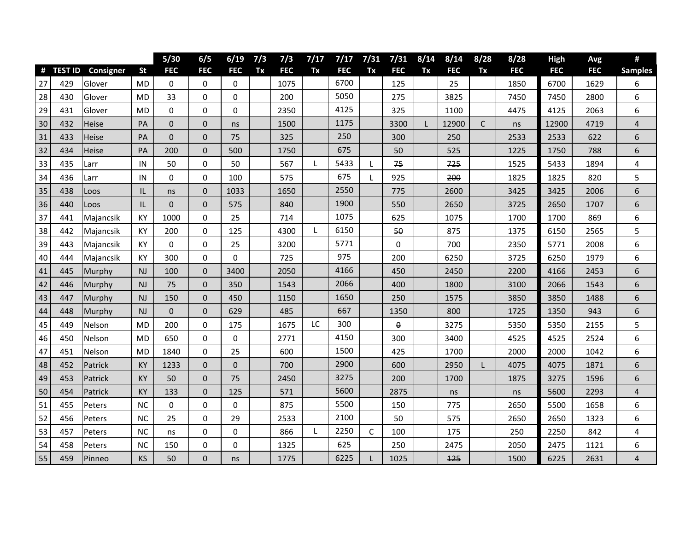|    |           |                  |           | $5/30$         | 6/5          | 6/19           | 7/3 | 7/3        | 7/17 | 7/17       | 7/31         | 7/31       | 8/14 | 8/14       | 8/28         | 8/28       | High       | Avg        | #                       |
|----|-----------|------------------|-----------|----------------|--------------|----------------|-----|------------|------|------------|--------------|------------|------|------------|--------------|------------|------------|------------|-------------------------|
|    | # TEST ID | <b>Consigner</b> | <b>St</b> | <b>FEC</b>     | <b>FEC</b>   | <b>FEC</b>     | Tx  | <b>FEC</b> | Tx   | <b>FEC</b> | Tx           | <b>FEC</b> | Tx   | <b>FEC</b> | Tx           | <b>FEC</b> | <b>FEC</b> | <b>FEC</b> | <b>Samples</b>          |
| 27 | 429       | Glover           | <b>MD</b> | $\Omega$       | $\Omega$     | $\Omega$       |     | 1075       |      | 6700       |              | 125        |      | 25         |              | 1850       | 6700       | 1629       | 6                       |
| 28 | 430       | Glover           | MD        | 33             | 0            | 0              |     | 200        |      | 5050       |              | 275        |      | 3825       |              | 7450       | 7450       | 2800       | 6                       |
| 29 | 431       | Glover           | <b>MD</b> | 0              | $\mathbf 0$  | 0              |     | 2350       |      | 4125       |              | 325        |      | 1100       |              | 4475       | 4125       | 2063       | 6                       |
| 30 | 432       | <b>Heise</b>     | PA        | $\mathbf 0$    | $\mathbf 0$  | ns             |     | 1500       |      | 1175       |              | 3300       | L    | 12900      | $\mathsf{C}$ | ns         | 12900      | 4719       | 4                       |
| 31 | 433       | Heise            | PA        | $\mathbf 0$    | $\mathbf 0$  | 75             |     | 325        |      | 250        |              | 300        |      | 250        |              | 2533       | 2533       | 622        | 6                       |
| 32 | 434       | Heise            | <b>PA</b> | 200            | $\mathbf 0$  | 500            |     | 1750       |      | 675        |              | 50         |      | 525        |              | 1225       | 1750       | 788        | 6                       |
| 33 | 435       | Larr             | IN        | 50             | 0            | 50             |     | 567        |      | 5433       |              | 75         |      | 725        |              | 1525       | 5433       | 1894       | 4                       |
| 34 | 436       | Larr             | IN        | 0              | $\mathbf 0$  | 100            |     | 575        |      | 675        | L            | 925        |      | 200        |              | 1825       | 1825       | 820        | 5                       |
| 35 | 438       | Loos             | IL        | ns             | $\mathbf 0$  | 1033           |     | 1650       |      | 2550       |              | 775        |      | 2600       |              | 3425       | 3425       | 2006       | 6                       |
| 36 | 440       | Loos             | IL        | $\mathbf 0$    | $\mathbf 0$  | 575            |     | 840        |      | 1900       |              | 550        |      | 2650       |              | 3725       | 2650       | 1707       | 6                       |
| 37 | 441       | Majancsik        | <b>KY</b> | 1000           | $\mathbf 0$  | 25             |     | 714        |      | 1075       |              | 625        |      | 1075       |              | 1700       | 1700       | 869        | 6                       |
| 38 | 442       | Majancsik        | KY        | 200            | $\mathbf 0$  | 125            |     | 4300       | L    | 6150       |              | 50         |      | 875        |              | 1375       | 6150       | 2565       | 5                       |
| 39 | 443       | Majancsik        | KY        | $\mathbf 0$    | $\mathbf 0$  | 25             |     | 3200       |      | 5771       |              | $\Omega$   |      | 700        |              | 2350       | 5771       | 2008       | 6                       |
| 40 | 444       | Majancsik        | KY        | 300            | $\mathbf 0$  | $\Omega$       |     | 725        |      | 975        |              | 200        |      | 6250       |              | 3725       | 6250       | 1979       | 6                       |
| 41 | 445       | Murphy           | <b>NJ</b> | 100            | $\mathbf 0$  | 3400           |     | 2050       |      | 4166       |              | 450        |      | 2450       |              | 2200       | 4166       | 2453       | 6                       |
| 42 | 446       | Murphy           | NJ        | 75             | $\mathbf 0$  | 350            |     | 1543       |      | 2066       |              | 400        |      | 1800       |              | 3100       | 2066       | 1543       | 6                       |
| 43 | 447       | Murphy           | NJ        | 150            | $\mathbf{0}$ | 450            |     | 1150       |      | 1650       |              | 250        |      | 1575       |              | 3850       | 3850       | 1488       | 6                       |
| 44 | 448       | Murphy           | NJ        | $\overline{0}$ | $\Omega$     | 629            |     | 485        |      | 667        |              | 1350       |      | 800        |              | 1725       | 1350       | 943        | 6                       |
| 45 | 449       | Nelson           | <b>MD</b> | 200            | $\pmb{0}$    | 175            |     | 1675       | LC   | 300        |              | θ          |      | 3275       |              | 5350       | 5350       | 2155       | 5                       |
| 46 | 450       | Nelson           | <b>MD</b> | 650            | $\mathbf 0$  | 0              |     | 2771       |      | 4150       |              | 300        |      | 3400       |              | 4525       | 4525       | 2524       | 6                       |
| 47 | 451       | Nelson           | MD        | 1840           | $\mathbf 0$  | 25             |     | 600        |      | 1500       |              | 425        |      | 1700       |              | 2000       | 2000       | 1042       | 6                       |
| 48 | 452       | Patrick          | <b>KY</b> | 1233           | $\mathbf{0}$ | $\overline{0}$ |     | 700        |      | 2900       |              | 600        |      | 2950       | L            | 4075       | 4075       | 1871       | 6                       |
| 49 | 453       | Patrick          | <b>KY</b> | 50             | $\Omega$     | 75             |     | 2450       |      | 3275       |              | 200        |      | 1700       |              | 1875       | 3275       | 1596       | 6                       |
| 50 | 454       | Patrick          | <b>KY</b> | 133            | $\mathbf{0}$ | 125            |     | 571        |      | 5600       |              | 2875       |      | ns         |              | ns         | 5600       | 2293       | 4                       |
| 51 | 455       | Peters           | <b>NC</b> | 0              | $\Omega$     | 0              |     | 875        |      | 5500       |              | 150        |      | 775        |              | 2650       | 5500       | 1658       | 6                       |
| 52 | 456       | Peters           | <b>NC</b> | 25             | $\mathbf 0$  | 29             |     | 2533       |      | 2100       |              | 50         |      | 575        |              | 2650       | 2650       | 1323       | 6                       |
| 53 | 457       | Peters           | <b>NC</b> | ns             | $\mathbf 0$  | 0              |     | 866        | L    | 2250       | $\mathsf{C}$ | 100        |      | 175        |              | 250        | 2250       | 842        | 4                       |
| 54 | 458       | Peters           | <b>NC</b> | 150            | $\pmb{0}$    | 0              |     | 1325       |      | 625        |              | 250        |      | 2475       |              | 2050       | 2475       | 1121       | 6                       |
| 55 | 459       | Pinneo           | KS        | 50             | $\mathbf{0}$ | ns             |     | 1775       |      | 6225       |              | 1025       |      | 125        |              | 1500       | 6225       | 2631       | $\overline{\mathbf{4}}$ |